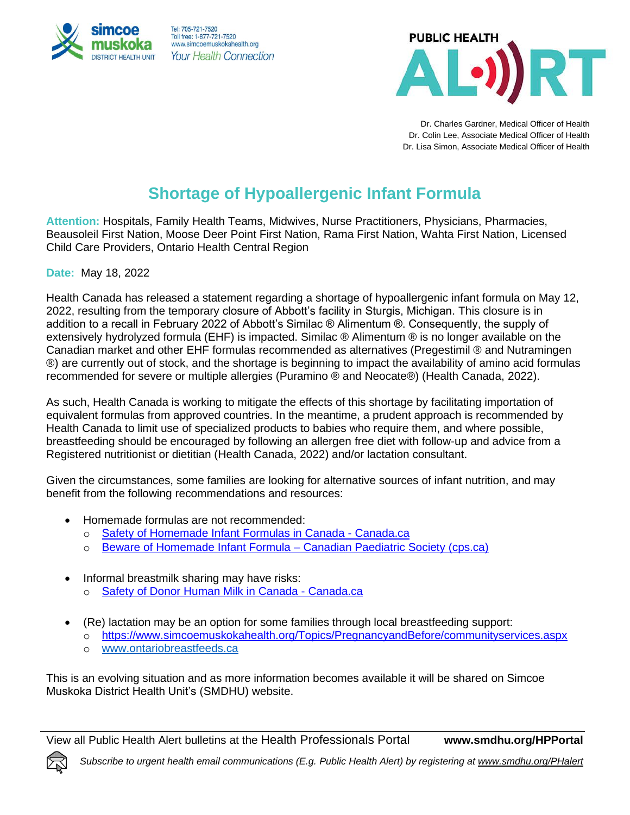



Dr. Charles Gardner, Medical Officer of Health Dr. Colin Lee, Associate Medical Officer of Health Dr. Lisa Simon, Associate Medical Officer of Health

## **Shortage of Hypoallergenic Infant Formula**

**Attention:** Hospitals, Family Health Teams, Midwives, Nurse Practitioners, Physicians, Pharmacies, Beausoleil First Nation, Moose Deer Point First Nation, Rama First Nation, Wahta First Nation, Licensed Child Care Providers, Ontario Health Central Region

**Date:** May 18, 2022

Health Canada has released a statement regarding a shortage of hypoallergenic infant formula on May 12, 2022, resulting from the temporary closure of Abbott's facility in Sturgis, Michigan. This closure is in addition to a recall in February 2022 of Abbott's Similac ® Alimentum ®. Consequently, the supply of extensively hydrolyzed formula (EHF) is impacted. Similac ® Alimentum ® is no longer available on the Canadian market and other EHF formulas recommended as alternatives (Pregestimil ® and Nutramingen ®) are currently out of stock, and the shortage is beginning to impact the availability of amino acid formulas recommended for severe or multiple allergies (Puramino ® and Neocate®) (Health Canada, 2022).

As such, Health Canada is working to mitigate the effects of this shortage by facilitating importation of equivalent formulas from approved countries. In the meantime, a prudent approach is recommended by Health Canada to limit use of specialized products to babies who require them, and where possible, breastfeeding should be encouraged by following an allergen free diet with follow-up and advice from a Registered nutritionist or dietitian (Health Canada, 2022) and/or lactation consultant.

Given the circumstances, some families are looking for alternative sources of infant nutrition, and may benefit from the following recommendations and resources:

- Homemade formulas are not recommended:
	- o [Safety of Homemade Infant Formulas in Canada -](https://www.canada.ca/en/health-canada/services/canada-food-guide/resources/infant-feeding/safety-homemade-infant-formulas-canada.html) Canada.ca
	- o Beware of Homemade Infant Formula [Canadian Paediatric Society](https://cps.ca/media/beware-of-homemade-infant-formulas) (cps.ca)
- Informal breastmilk sharing may have risks: o [Safety of Donor Human Milk in Canada -](https://www.canada.ca/en/health-canada/services/canada-food-guide/resources/infant-feeding/safety-donor-human-milk-canada.html) Canada.ca
- (Re) lactation may be an option for some families through local breastfeeding support:
	- o <https://www.simcoemuskokahealth.org/Topics/PregnancyandBefore/communityservices.aspx>
	- o [www.ontariobreastfeeds.ca](http://www.ontariobreastfeeds.ca/)

This is an evolving situation and as more information becomes available it will be shared on Simcoe Muskoka District Health Unit's (SMDHU) website.

View all Public Health Alert bulletins at the Health Professionals Portal **www.smdhu.org/HPPortal**

*Subscribe to urgent health email communications (E.g. Public Health Alert) by registering a[t www.smdhu.org/PHalert](http://www.smdhu.org/PHalert)*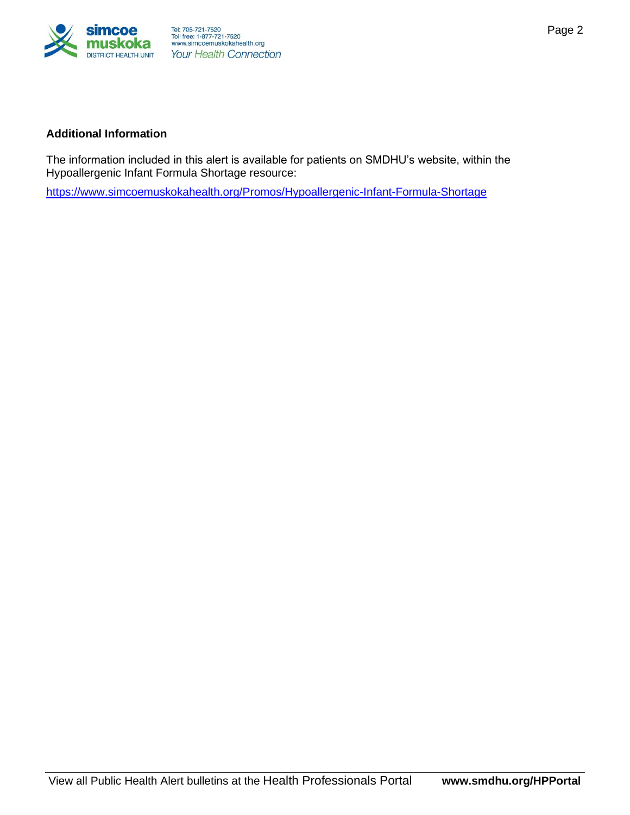

The information included in this alert is available for patients on SMDHU's website, within the Hypoallergenic Infant Formula Shortage resource:

[https://www.simcoemuskokahealth.org/Promos/Hypoallergenic-Infant-Formula-Shortage](https://can01.safelinks.protection.outlook.com/?url=https%3A%2F%2Fwww.simcoemuskokahealth.org%2FPromos%2FHypoallergenic-Infant-Formula-Shortage&data=05%7C01%7CPamela.Dechamplain%40smdhu.org%7Ceb8f4cdb7bd74a5b2b0a08da38fb9526%7Cff1522bfac0b4820bc4c4c6186b0fc89%7C0%7C0%7C637884950430599961%7CUnknown%7CTWFpbGZsb3d8eyJWIjoiMC4wLjAwMDAiLCJQIjoiV2luMzIiLCJBTiI6Ik1haWwiLCJXVCI6Mn0%3D%7C3000%7C%7C%7C&sdata=nC5oL8jYiGTCuIiHEpen2VJ9V8WD2mUfMzOpUHgAzgk%3D&reserved=0)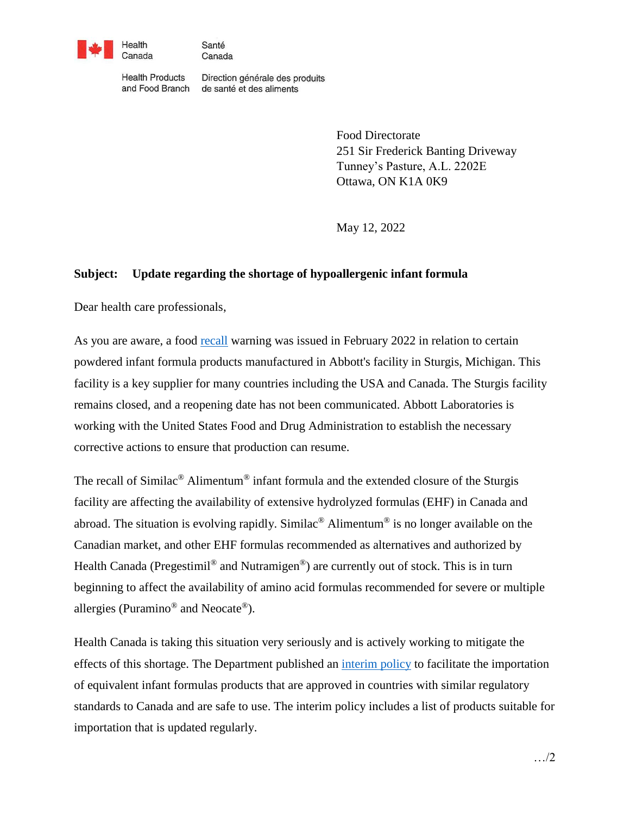

Santé Canada

**Health Products** and Food Branch Direction générale des produits de santé et des aliments

> Food Directorate 251 Sir Frederick Banting Driveway Tunney's Pasture, A.L. 2202E Ottawa, ON K1A 0K9

May 12, 2022

## **Subject: Update regarding the shortage of hypoallergenic infant formula**

Dear health care professionals,

As you are aware, a food [recall](https://recalls-rappels.canada.ca/en/alert-recall/certain-abbott-brand-powdered-infant-formula-products-recalled-due-cronobacter) warning was issued in February 2022 in relation to certain powdered infant formula products manufactured in Abbott's facility in Sturgis, Michigan. This facility is a key supplier for many countries including the USA and Canada. The Sturgis facility remains closed, and a reopening date has not been communicated. Abbott Laboratories is working with the United States Food and Drug Administration to establish the necessary corrective actions to ensure that production can resume.

The recall of Similac<sup>®</sup> Alimentum<sup>®</sup> infant formula and the extended closure of the Sturgis facility are affecting the availability of extensive hydrolyzed formulas (EHF) in Canada and abroad. The situation is evolving rapidly. Similac<sup>®</sup> Alimentum<sup>®</sup> is no longer available on the Canadian market, and other EHF formulas recommended as alternatives and authorized by Health Canada (Pregestimil<sup>®</sup> and Nutramigen<sup>®</sup>) are currently out of stock. This is in turn beginning to affect the availability of amino acid formulas recommended for severe or multiple allergies (Puramino® and Neocate®).

Health Canada is taking this situation very seriously and is actively working to mitigate the effects of this shortage. The Department published an [interim policy](https://www.canada.ca/en/health-canada/services/food-nutrition/legislation-guidelines/policies/interim-policy-importation-sale-infant-formula-human-milk-fortifiers-metabolic-products.html) to facilitate the importation of equivalent infant formulas products that are approved in countries with similar regulatory standards to Canada and are safe to use. The interim policy includes a list of products suitable for importation that is updated regularly.